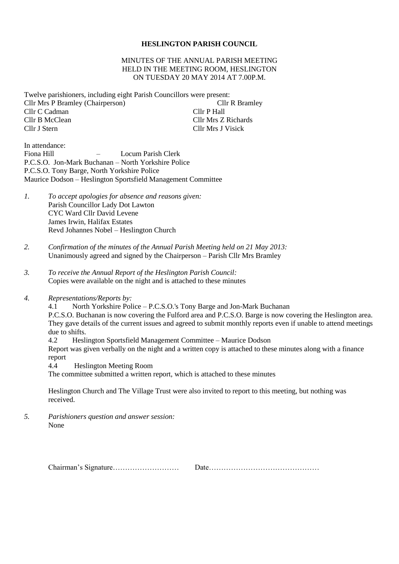#### **HESLINGTON PARISH COUNCIL**

#### MINUTES OF THE ANNUAL PARISH MEETING HELD IN THE MEETING ROOM, HESLINGTON ON TUESDAY 20 MAY 2014 AT 7.00P.M.

Twelve parishioners, including eight Parish Councillors were present: Cllr Mrs P Bramley (Chairperson) Cllr R Bramley Cllr C Cadman Cllr P Hall Cllr B McClean Cllr Mrs Z Richards Cllr J Stern Cllr Mrs J Visick

In attendance: Fiona Hill – Locum Parish Clerk P.C.S.O. Jon-Mark Buchanan – North Yorkshire Police P.C.S.O. Tony Barge, North Yorkshire Police Maurice Dodson – Heslington Sportsfield Management Committee

- *1. To accept apologies for absence and reasons given:* Parish Councillor Lady Dot Lawton CYC Ward Cllr David Levene James Irwin, Halifax Estates Revd Johannes Nobel – Heslington Church
- *2. Confirmation of the minutes of the Annual Parish Meeting held on 21 May 2013:* Unanimously agreed and signed by the Chairperson – Parish Cllr Mrs Bramley
- *3. To receive the Annual Report of the Heslington Parish Council:* Copies were available on the night and is attached to these minutes
- *4. Representations/Reports by:*

4.1 North Yorkshire Police – P.C.S.O.'s Tony Barge and Jon-Mark Buchanan

P.C.S.O. Buchanan is now covering the Fulford area and P.C.S.O. Barge is now covering the Heslington area. They gave details of the current issues and agreed to submit monthly reports even if unable to attend meetings due to shifts.

4.2 Heslington Sportsfield Management Committee – Maurice Dodson Report was given verbally on the night and a written copy is attached to these minutes along with a finance

report

4.4 Heslington Meeting Room

The committee submitted a written report, which is attached to these minutes

Heslington Church and The Village Trust were also invited to report to this meeting, but nothing was received.

*5. Parishioners question and answer session:* None

Chairman's Signature……………………… Date………………………………………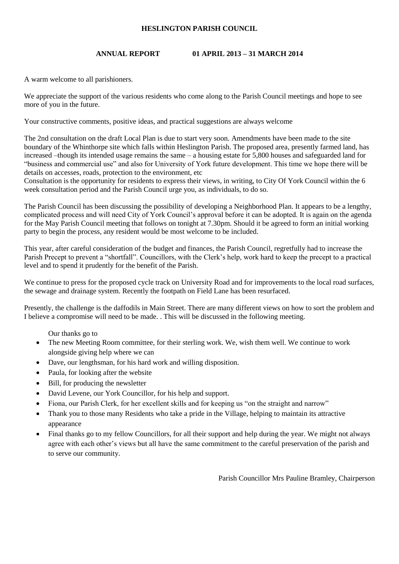## **HESLINGTON PARISH COUNCIL**

## **ANNUAL REPORT 01 APRIL 2013 – 31 MARCH 2014**

A warm welcome to all parishioners.

We appreciate the support of the various residents who come along to the Parish Council meetings and hope to see more of you in the future.

Your constructive comments, positive ideas, and practical suggestions are always welcome

The 2nd consultation on the draft Local Plan is due to start very soon. Amendments have been made to the site boundary of the Whinthorpe site which falls within Heslington Parish. The proposed area, presently farmed land, has increased –though its intended usage remains the same – a housing estate for 5,800 houses and safeguarded land for "business and commercial use" and also for University of York future development. This time we hope there will be details on accesses, roads, protection to the environment, etc

Consultation is the opportunity for residents to express their views, in writing, to City Of York Council within the 6 week consultation period and the Parish Council urge you, as individuals, to do so.

The Parish Council has been discussing the possibility of developing a Neighborhood Plan. It appears to be a lengthy, complicated process and will need City of York Council's approval before it can be adopted. It is again on the agenda for the May Parish Council meeting that follows on tonight at 7.30pm. Should it be agreed to form an initial working party to begin the process, any resident would be most welcome to be included.

This year, after careful consideration of the budget and finances, the Parish Council, regretfully had to increase the Parish Precept to prevent a "shortfall". Councillors, with the Clerk's help, work hard to keep the precept to a practical level and to spend it prudently for the benefit of the Parish.

We continue to press for the proposed cycle track on University Road and for improvements to the local road surfaces, the sewage and drainage system. Recently the footpath on Field Lane has been resurfaced.

Presently, the challenge is the daffodils in Main Street. There are many different views on how to sort the problem and I believe a compromise will need to be made. . This will be discussed in the following meeting.

Our thanks go to

- The new Meeting Room committee, for their sterling work. We, wish them well. We continue to work alongside giving help where we can
- Dave, our lengthsman, for his hard work and willing disposition.
- Paula, for looking after the website
- Bill, for producing the newsletter
- David Levene, our York Councillor, for his help and support.
- Fiona, our Parish Clerk, for her excellent skills and for keeping us "on the straight and narrow"
- Thank you to those many Residents who take a pride in the Village, helping to maintain its attractive appearance
- Final thanks go to my fellow Councillors, for all their support and help during the year. We might not always agree with each other's views but all have the same commitment to the careful preservation of the parish and to serve our community.

Parish Councillor Mrs Pauline Bramley, Chairperson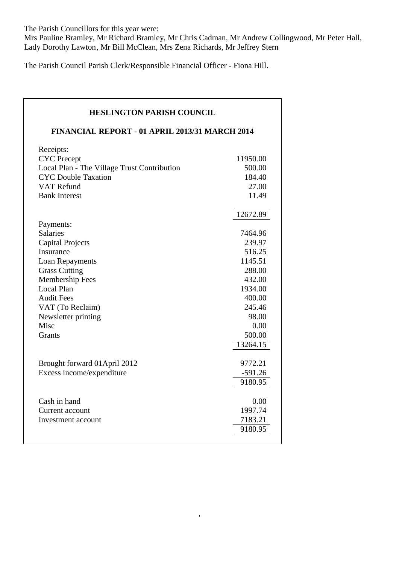The Parish Councillors for this year were:

Mrs Pauline Bramley, Mr Richard Bramley, Mr Chris Cadman, Mr Andrew Collingwood, Mr Peter Hall, Lady Dorothy Lawton, Mr Bill McClean, Mrs Zena Richards, Mr Jeffrey Stern

The Parish Council Parish Clerk/Responsible Financial Officer - Fiona Hill.

# **HESLINGTON PARISH COUNCIL FINANCIAL REPORT - 01 APRIL 2013/31 MARCH 2014** Receipts: CYC Precept 11950.00 Local Plan - The Village Trust Contribution 500.00 CYC Double Taxation 184.40 VAT Refund 27.00 Bank Interest 11.49 12672.89 Payments: Salaries 7464.96 Capital Projects 239.97 Insurance 516.25 Loan Repayments 1145.51 Grass Cutting 288.00 Membership Fees 432.00 Local Plan 1934.00 Audit Fees 400.00 VAT (To Reclaim) 245.46 Newsletter printing 98.00  $Misc$  0.00 Grants 500.00 13264.15 Brought forward 01 April 2012 9772.21 Excess income/expenditure -591.26 9180.95 Cash in hand 0.00 Current account 1997.74 Investment account 7183.21 9180.95

,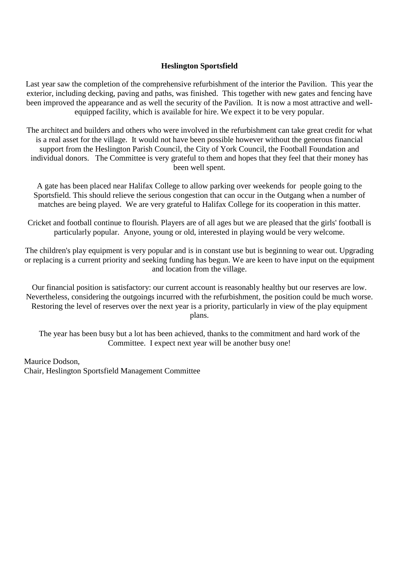# **Heslington Sportsfield**

Last year saw the completion of the comprehensive refurbishment of the interior the Pavilion. This year the exterior, including decking, paving and paths, was finished. This together with new gates and fencing have been improved the appearance and as well the security of the Pavilion. It is now a most attractive and wellequipped facility, which is available for hire. We expect it to be very popular.

The architect and builders and others who were involved in the refurbishment can take great credit for what is a real asset for the village. It would not have been possible however without the generous financial support from the Heslington Parish Council, the City of York Council, the Football Foundation and individual donors. The Committee is very grateful to them and hopes that they feel that their money has been well spent.

A gate has been placed near Halifax College to allow parking over weekends for people going to the Sportsfield. This should relieve the serious congestion that can occur in the Outgang when a number of matches are being played. We are very grateful to Halifax College for its cooperation in this matter.

Cricket and football continue to flourish. Players are of all ages but we are pleased that the girls' football is particularly popular. Anyone, young or old, interested in playing would be very welcome.

The children's play equipment is very popular and is in constant use but is beginning to wear out. Upgrading or replacing is a current priority and seeking funding has begun. We are keen to have input on the equipment and location from the village.

Our financial position is satisfactory: our current account is reasonably healthy but our reserves are low. Nevertheless, considering the outgoings incurred with the refurbishment, the position could be much worse. Restoring the level of reserves over the next year is a priority, particularly in view of the play equipment plans.

The year has been busy but a lot has been achieved, thanks to the commitment and hard work of the Committee. I expect next year will be another busy one!

Maurice Dodson, Chair, Heslington Sportsfield Management Committee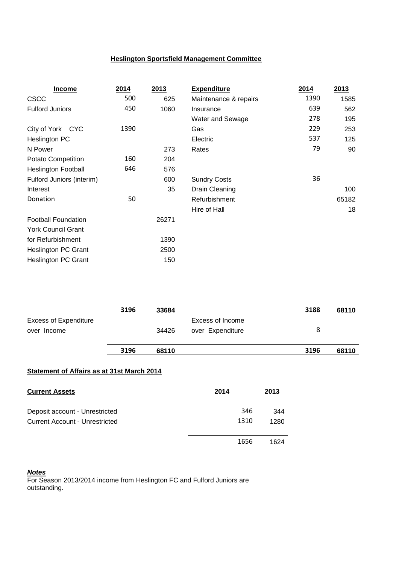# **Heslington Sportsfield Management Committee**

| <b>Income</b>              | 2014 | 2013  | <b>Expenditure</b>    | 2014 | 2013  |
|----------------------------|------|-------|-----------------------|------|-------|
| <b>CSCC</b>                | 500  | 625   | Maintenance & repairs | 1390 | 1585  |
| <b>Fulford Juniors</b>     | 450  | 1060  | Insurance             | 639  | 562   |
|                            |      |       | Water and Sewage      | 278  | 195   |
| City of York CYC           | 1390 |       | Gas                   | 229  | 253   |
| Heslington PC              |      |       | Electric              | 537  | 125   |
| N Power                    |      | 273   | Rates                 | 79   | 90    |
| Potato Competition         | 160  | 204   |                       |      |       |
| <b>Heslington Football</b> | 646  | 576   |                       |      |       |
| Fulford Juniors (interim)  |      | 600   | <b>Sundry Costs</b>   | 36   |       |
| Interest                   |      | 35    | Drain Cleaning        |      | 100   |
| Donation                   | 50   |       | Refurbishment         |      | 65182 |
|                            |      |       | Hire of Hall          |      | 18    |
| <b>Football Foundation</b> |      | 26271 |                       |      |       |
| <b>York Council Grant</b>  |      |       |                       |      |       |
| for Refurbishment          |      | 1390  |                       |      |       |
| <b>Heslington PC Grant</b> |      | 2500  |                       |      |       |
| <b>Heslington PC Grant</b> |      | 150   |                       |      |       |

|                                             | 3196 | 68110 |                                      | 3196 | 68110 |
|---------------------------------------------|------|-------|--------------------------------------|------|-------|
| <b>Excess of Expenditure</b><br>over Income |      | 34426 | Excess of Income<br>over Expenditure | 8    |       |
|                                             | 3196 | 33684 |                                      | 3188 | 68110 |

# **Statement of Affairs as at 31st March 2014**

| <b>Current Assets</b>                 | 2014 | 2013 |
|---------------------------------------|------|------|
| Deposit account - Unrestricted        | 346  | 344  |
| <b>Current Account - Unrestricted</b> | 1310 |      |
|                                       | 1656 | 1624 |

#### *Notes*

For Season 2013/2014 income from Heslington FC and Fulford Juniors are outstanding.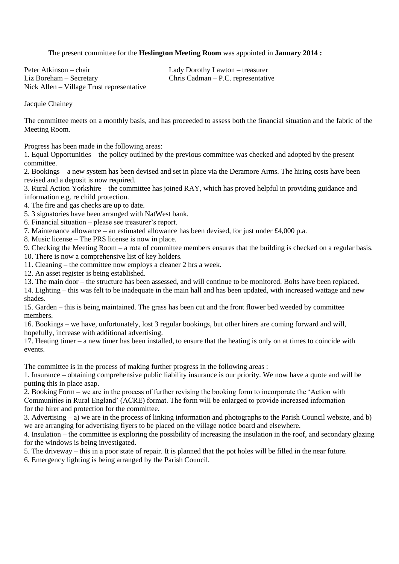The present committee for the **Heslington Meeting Room** was appointed in **January 2014 :**

Peter Atkinson – chair Lady Dorothy Lawton – treasurer Liz Boreham – Secretary Chris Cadman – P.C. representative Nick Allen – Village Trust representative

Jacquie Chainey

The committee meets on a monthly basis, and has proceeded to assess both the financial situation and the fabric of the Meeting Room.

Progress has been made in the following areas:

1. Equal Opportunities – the policy outlined by the previous committee was checked and adopted by the present committee.

2. Bookings – a new system has been devised and set in place via the Deramore Arms. The hiring costs have been revised and a deposit is now required.

3. Rural Action Yorkshire – the committee has joined RAY, which has proved helpful in providing guidance and information e.g. re child protection.

4. The fire and gas checks are up to date.

5. 3 signatories have been arranged with NatWest bank.

6. Financial situation – please see treasurer's report.

7. Maintenance allowance – an estimated allowance has been devised, for just under £4,000 p.a.

8. Music license – The PRS license is now in place.

9. Checking the Meeting Room – a rota of committee members ensures that the building is checked on a regular basis. 10. There is now a comprehensive list of key holders.

11. Cleaning – the committee now employs a cleaner 2 hrs a week.

12. An asset register is being established.

13. The main door – the structure has been assessed, and will continue to be monitored. Bolts have been replaced.

14. Lighting – this was felt to be inadequate in the main hall and has been updated, with increased wattage and new shades.

15. Garden – this is being maintained. The grass has been cut and the front flower bed weeded by committee members.

16. Bookings – we have, unfortunately, lost 3 regular bookings, but other hirers are coming forward and will, hopefully, increase with additional advertising.

17. Heating timer – a new timer has been installed, to ensure that the heating is only on at times to coincide with events.

The committee is in the process of making further progress in the following areas :

1. Insurance – obtaining comprehensive public liability insurance is our priority. We now have a quote and will be putting this in place asap.

2. Booking Form – we are in the process of further revising the booking form to incorporate the 'Action with Communities in Rural England' (ACRE) format. The form will be enlarged to provide increased information for the hirer and protection for the committee.

3. Advertising – a) we are in the process of linking information and photographs to the Parish Council website, and b) we are arranging for advertising flyers to be placed on the village notice board and elsewhere.

4. Insulation – the committee is exploring the possibility of increasing the insulation in the roof, and secondary glazing for the windows is being investigated.

5. The driveway – this in a poor state of repair. It is planned that the pot holes will be filled in the near future.

6. Emergency lighting is being arranged by the Parish Council.